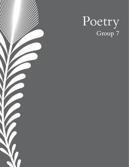

# Poetry<br>Group 7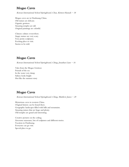# Mogao Caves

Korean International School Springboard, Chau, Kirsten Hannah  $-18$ 

Mogao caves are in Dunhuang China. Old statues are delicate. Gigantic grottoes. Amazing temples are tall. Original paintings are colorful.

Chinese culture everywhere. Angry statues are very scary. Very pretty sculptures. Exciting place to visit. Stories to be told.

## Mogao Caves

Korean International School Springboard, Ching, Jonathan Liam - 16

Tales from the Mogao Grottoes Friends of the sea In the water very damp Sidney looks bright Hot like the summer story

# Mogao Caves

Korean International School Springboard, Ching, Matthew James  $-20$ 

Mysterious caves in western China. Original history can be found there. Geographic landscapes filled with hills and mountains. Amazing statues that are huge and plenty. Old temples are grand and interesting.

Creative pictures on the ceiling. Awesome museums, lots of sculptures and different stories. Vacation in Dunhuang. Everyone can go visit. Special place to go.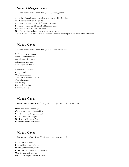### Ancient Mogao Caves

Korean International School Springboard, Kwan, Jordan  $-15$ 

- $A A$  lot of people gather together inside to worship Buddha.
- N- Nice view outside the grotto.
- C- Centre of attraction is a different old painting.
- I- Inside you can see different Buddha sculptures.
- E- Elevated structure from the desert.
- N- Nice architectural design that lasted many years.

T- To those people who visited the Mogao Grottoes, they experienced peace of mind within.

### Mogao Caves

Korean International School Springboard, Chor, Damien  $-14$ 

Made from the mountains Open heart for the world Great historical moment A long long time ago Opening to the world

Giant leaves to explore Rough Land Over the mainland Turn of the twentieth century Tales of mystery On the way Eastern destination Scattering places

### Mogao Caves

Korean International School Springboard, Leung, Chun Yin, Darren - 14

Dunhuang is the place to go If you want to visit a big Buddha Very dry weather keeps him well Inside a cave is his temple Northwest of China in Asia Excellent place to visit indeed

### Mogao Caves

Korean International School Springboard, Lin, Adrian  $-16$ 

Valued for its history. Impeccable carvings of caves. Standing still for many years. Introduced by a monk named Yuezun. Overflowing with prayers. Narrated through hundreds of years.